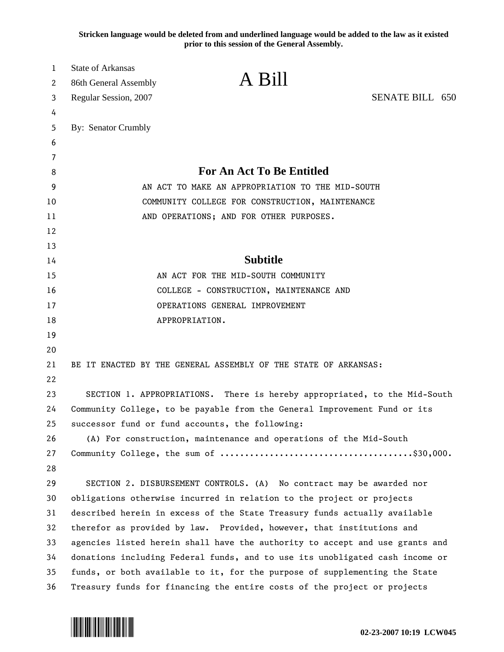**Stricken language would be deleted from and underlined language would be added to the law as it existed prior to this session of the General Assembly.**

| 1<br>2 | <b>State of Arkansas</b><br>86th General Assembly                         | A Bill                                                                       |                 |  |
|--------|---------------------------------------------------------------------------|------------------------------------------------------------------------------|-----------------|--|
| 3      | Regular Session, 2007                                                     |                                                                              | SENATE BILL 650 |  |
| 4      |                                                                           |                                                                              |                 |  |
| 5      | By: Senator Crumbly                                                       |                                                                              |                 |  |
| 6      |                                                                           |                                                                              |                 |  |
| 7      |                                                                           |                                                                              |                 |  |
| 8      |                                                                           | <b>For An Act To Be Entitled</b>                                             |                 |  |
| 9      | AN ACT TO MAKE AN APPROPRIATION TO THE MID-SOUTH                          |                                                                              |                 |  |
| 10     | COMMUNITY COLLEGE FOR CONSTRUCTION, MAINTENANCE                           |                                                                              |                 |  |
| 11     |                                                                           | AND OPERATIONS; AND FOR OTHER PURPOSES.                                      |                 |  |
| 12     |                                                                           |                                                                              |                 |  |
| 13     |                                                                           |                                                                              |                 |  |
| 14     |                                                                           | <b>Subtitle</b>                                                              |                 |  |
| 15     |                                                                           | AN ACT FOR THE MID-SOUTH COMMUNITY                                           |                 |  |
| 16     |                                                                           | COLLEGE - CONSTRUCTION, MAINTENANCE AND                                      |                 |  |
| 17     |                                                                           | OPERATIONS GENERAL IMPROVEMENT                                               |                 |  |
| 18     |                                                                           | APPROPRIATION.                                                               |                 |  |
| 19     |                                                                           |                                                                              |                 |  |
| 20     |                                                                           |                                                                              |                 |  |
| 21     |                                                                           | BE IT ENACTED BY THE GENERAL ASSEMBLY OF THE STATE OF ARKANSAS:              |                 |  |
| 22     |                                                                           |                                                                              |                 |  |
| 23     |                                                                           | SECTION 1. APPROPRIATIONS. There is hereby appropriated, to the Mid-South    |                 |  |
| 24     | Community College, to be payable from the General Improvement Fund or its |                                                                              |                 |  |
| 25     |                                                                           | successor fund or fund accounts, the following:                              |                 |  |
| 26     |                                                                           | (A) For construction, maintenance and operations of the Mid-South            |                 |  |
| 27     |                                                                           |                                                                              |                 |  |
| 28     |                                                                           |                                                                              |                 |  |
| 29     |                                                                           | SECTION 2. DISBURSEMENT CONTROLS. (A) No contract may be awarded nor         |                 |  |
| 30     |                                                                           | obligations otherwise incurred in relation to the project or projects        |                 |  |
| 31     |                                                                           | described herein in excess of the State Treasury funds actually available    |                 |  |
| 32     |                                                                           | therefor as provided by law. Provided, however, that institutions and        |                 |  |
| 33     |                                                                           | agencies listed herein shall have the authority to accept and use grants and |                 |  |
| 34     |                                                                           | donations including Federal funds, and to use its unobligated cash income or |                 |  |
| 35     |                                                                           | funds, or both available to it, for the purpose of supplementing the State   |                 |  |
| 36     |                                                                           | Treasury funds for financing the entire costs of the project or projects     |                 |  |